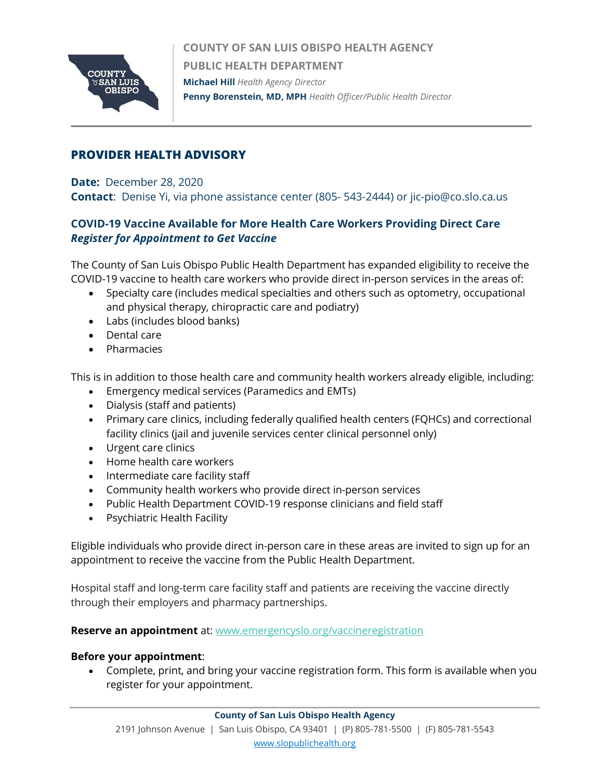

**COUNTY OF SAN LUIS OBISPO HEALTH AGENCY PUBLIC HEALTH DEPARTMENT Michael Hill** *Health Agency Director*  **Penny Borenstein, MD, MPH** *Health Officer/Public Health Director*

## **PROVIDER HEALTH ADVISORY**

**Date:** December 28, 2020

**Contact**: Denise Yi, via phone assistance center (805- 543-2444) or jic-pio@co.slo.ca.us

# **COVID-19 Vaccine Available for More Health Care Workers Providing Direct Care** *Register for Appointment to Get Vaccine*

The County of San Luis Obispo Public Health Department has expanded eligibility to receive the COVID-19 vaccine to health care workers who provide direct in-person services in the areas of:

- Specialty care (includes medical specialties and others such as optometry, occupational and physical therapy, chiropractic care and podiatry)
- Labs (includes blood banks)
- Dental care
- Pharmacies

This is in addition to those health care and community health workers already eligible, including:

- Emergency medical services (Paramedics and EMTs)
- Dialysis (staff and patients)
- Primary care clinics, including federally qualified health centers (FQHCs) and correctional facility clinics (jail and juvenile services center clinical personnel only)
- Urgent care clinics
- Home health care workers
- Intermediate care facility staff
- Community health workers who provide direct in-person services
- Public Health Department COVID-19 response clinicians and field staff
- Psychiatric Health Facility

Eligible individuals who provide direct in-person care in these areas are invited to sign up for an appointment to receive the vaccine from the Public Health Department.

Hospital staff and long-term care facility staff and patients are receiving the vaccine directly through their employers and pharmacy partnerships.

**Reserve an appointment** at: [www.emergencyslo.org/vaccineregistration](http://www.emergencyslo.org/vaccineregistration)

#### **Before your appointment**:

• Complete, print, and bring your vaccine registration form. This form is available when you register for your appointment.